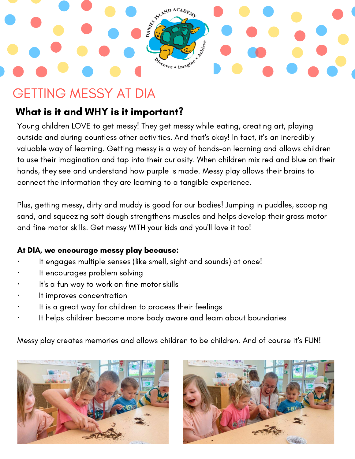# ASTRALIST AND  $ACAD$ Cover . Imagine

## GETTING MESSY AT DIA

## What is it and WHY is it important?

Young children LOVE to get messy! They get messy while eating, creating art, playing outside and during countless other activities. And that's okay! In fact, it's an incredibly valuable way of learning. Getting messy is a way of hands-on learning and allows children to use their imagination and tap into their curiosity. When children mix red and blue on their hands, they see and understand how purple is made. Messy play allows their brains to connect the information they are learning to a tangible experience.

Plus, getting messy, dirty and muddy is good for our bodies! Jumping in puddles, scooping sand, and squeezing soft dough strengthens muscles and helps develop their gross motor and fine motor skills. Get messy WITH your kids and you'll love it too!

#### At DIA, we encourage messy play because:

- It engages multiple senses (like smell, sight and sounds) at once!
- It encourages problem solving
- It's a fun way to work on fine motor skills
- It improves concentration
- It is a great way for children to process their feelings
- It helps children become more body aware and learn about boundaries

Messy play creates memories and allows children to be children. And of course it's FUN!



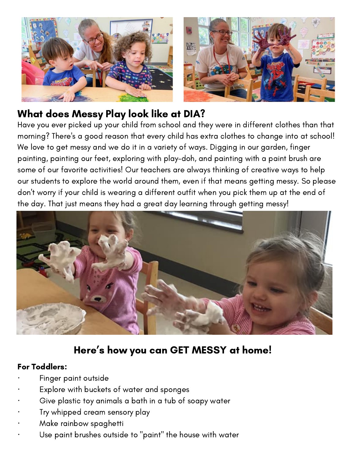

#### What does Messy Play look like at DIA?

Have you ever picked up your child from school and they were in different clothes than that morning? There's a good reason that every child has extra clothes to change into at school! We love to get messy and we do it in a variety of ways. Digging in our garden, finger painting, painting our feet, exploring with play-doh, and painting with a paint brush are some of our favorite activities! Our teachers are always thinking of creative ways to help our students to explore the world around them, even if that means getting messy. So please don't worry if your child is wearing a different outfit when you pick them up at the end of the day. That just means they had a great day learning through getting messy!



## Here ' s how you can GET MESSY at home!

#### For Toddlers:

- Finger paint outside
- Explore with buckets of water and sponges
- Give plastic toy animals a bath in a tub of soapy water
- · Try whipped cream sensory play
- · Make rainbow spaghetti
- Use paint brushes outside to "paint" the house with water